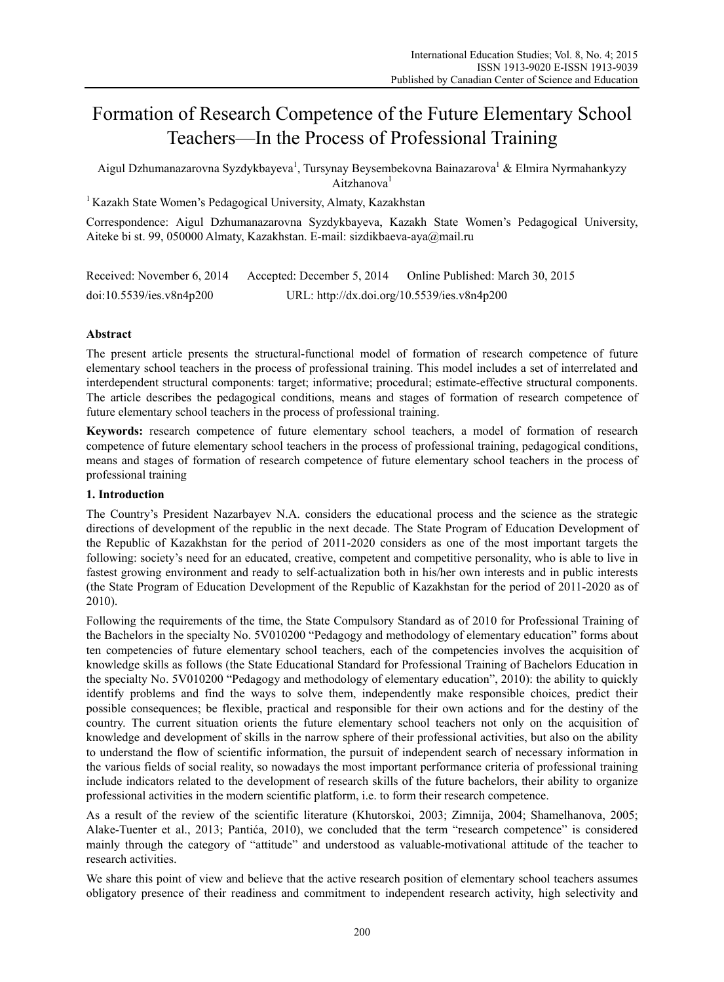# Formation of Research Competence of the Future Elementary School Teachers—In the Process of Professional Training

Aigul Dzhumanazarovna Syzdykbayeva<sup>1</sup>, Tursynay Beysembekovna Bainazarova<sup>1</sup> & Elmira Nyrmahankyzy Aitzhanova<sup>1</sup>

<sup>1</sup> Kazakh State Women's Pedagogical University, Almaty, Kazakhstan

Correspondence: Aigul Dzhumanazarovna Syzdykbayeva, Kazakh State Women's Pedagogical University, Aiteke bi st. 99, 050000 Almaty, Kazakhstan. E-mail: sizdikbaeva-aya@mail.ru

| Received: November 6, 2014 | Accepted: December 5, 2014                  | Online Published: March 30, 2015 |
|----------------------------|---------------------------------------------|----------------------------------|
| doi:10.5539/ies.v8n4p200   | URL: http://dx.doi.org/10.5539/ies.v8n4p200 |                                  |

# **Abstract**

The present article presents the structural-functional model of formation of research competence of future elementary school teachers in the process of professional training. This model includes a set of interrelated and interdependent structural components: target; informative; procedural; estimate-effective structural components. The article describes the pedagogical conditions, means and stages of formation of research competence of future elementary school teachers in the process of professional training.

**Keywords:** research competence of future elementary school teachers, a model of formation of research competence of future elementary school teachers in the process of professional training, pedagogical conditions, means and stages of formation of research competence of future elementary school teachers in the process of professional training

# **1. Introduction**

The Country's President Nazarbayev N.A. considers the educational process and the science as the strategic directions of development of the republic in the next decade. The State Program of Education Development of the Republic of Kazakhstan for the period of 2011-2020 considers as one of the most important targets the following: society's need for an educated, creative, competent and competitive personality, who is able to live in fastest growing environment and ready to self-actualization both in his/her own interests and in public interests (the State Program of Education Development of the Republic of Kazakhstan for the period of 2011-2020 as of 2010).

Following the requirements of the time, the State Compulsory Standard as of 2010 for Professional Training of the Bachelors in the specialty No. 5V010200 "Pedagogy and methodology of elementary education" forms about ten competencies of future elementary school teachers, each of the competencies involves the acquisition of knowledge skills as follows (the State Educational Standard for Professional Training of Bachelors Education in the specialty No. 5V010200 "Pedagogy and methodology of elementary education", 2010): the ability to quickly identify problems and find the ways to solve them, independently make responsible choices, predict their possible consequences; be flexible, practical and responsible for their own actions and for the destiny of the country. The current situation orients the future elementary school teachers not only on the acquisition of knowledge and development of skills in the narrow sphere of their professional activities, but also on the ability to understand the flow of scientific information, the pursuit of independent search of necessary information in the various fields of social reality, so nowadays the most important performance criteria of professional training include indicators related to the development of research skills of the future bachelors, their ability to organize professional activities in the modern scientific platform, i.e. to form their research competence.

As a result of the review of the scientific literature (Khutorskoi, 2003; Zimnija, 2004; Shamelhanova, 2005; Alake-Tuenter et al., 2013; Pantića, 2010), we concluded that the term "research competence" is considered mainly through the category of "attitude" and understood as valuable-motivational attitude of the teacher to research activities.

We share this point of view and believe that the active research position of elementary school teachers assumes obligatory presence of their readiness and commitment to independent research activity, high selectivity and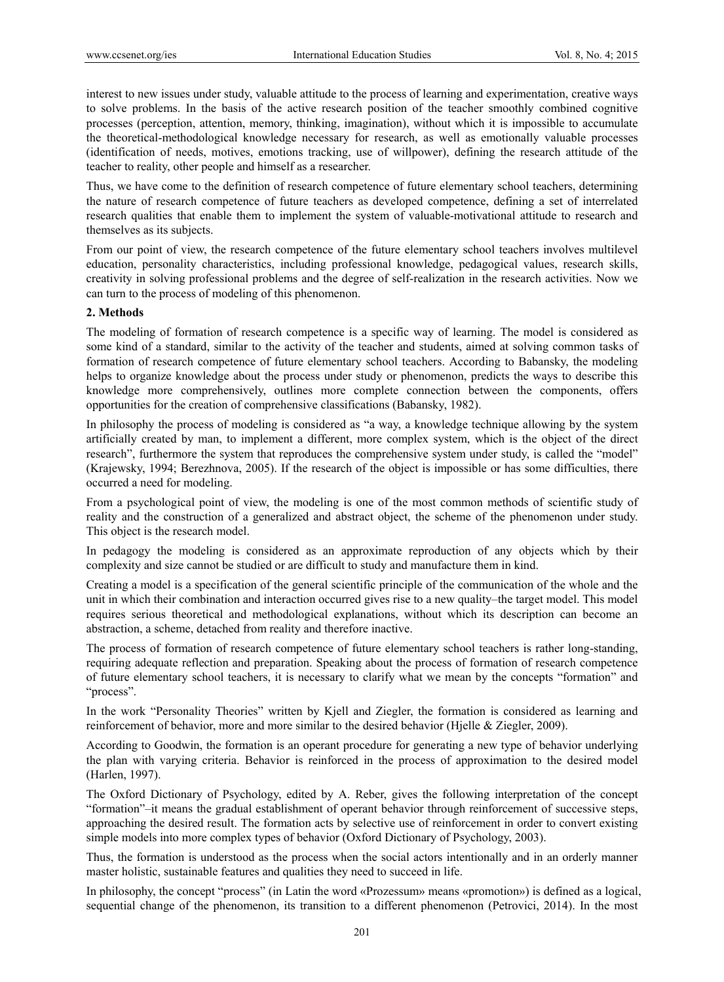interest to new issues under study, valuable attitude to the process of learning and experimentation, creative ways to solve problems. In the basis of the active research position of the teacher smoothly combined cognitive processes (perception, attention, memory, thinking, imagination), without which it is impossible to accumulate the theoretical-methodological knowledge necessary for research, as well as emotionally valuable processes (identification of needs, motives, emotions tracking, use of willpower), defining the research attitude of the teacher to reality, other people and himself as a researcher.

Thus, we have come to the definition of research competence of future elementary school teachers, determining the nature of research competence of future teachers as developed competence, defining a set of interrelated research qualities that enable them to implement the system of valuable-motivational attitude to research and themselves as its subjects.

From our point of view, the research competence of the future elementary school teachers involves multilevel education, personality characteristics, including professional knowledge, pedagogical values, research skills, creativity in solving professional problems and the degree of self-realization in the research activities. Now we can turn to the process of modeling of this phenomenon.

### **2. Methods**

The modeling of formation of research competence is a specific way of learning. The model is considered as some kind of a standard, similar to the activity of the teacher and students, aimed at solving common tasks of formation of research competence of future elementary school teachers. According to Babansky, the modeling helps to organize knowledge about the process under study or phenomenon, predicts the ways to describe this knowledge more comprehensively, outlines more complete connection between the components, offers opportunities for the creation of comprehensive classifications (Babansky, 1982).

In philosophy the process of modeling is considered as "a way, a knowledge technique allowing by the system artificially created by man, to implement a different, more complex system, which is the object of the direct research", furthermore the system that reproduces the comprehensive system under study, is called the "model" (Krajewsky, 1994; Berezhnova, 2005). If the research of the object is impossible or has some difficulties, there occurred a need for modeling.

From a psychological point of view, the modeling is one of the most common methods of scientific study of reality and the construction of a generalized and abstract object, the scheme of the phenomenon under study. This object is the research model.

In pedagogy the modeling is considered as an approximate reproduction of any objects which by their complexity and size cannot be studied or are difficult to study and manufacture them in kind.

Creating a model is a specification of the general scientific principle of the communication of the whole and the unit in which their combination and interaction occurred gives rise to a new quality–the target model. This model requires serious theoretical and methodological explanations, without which its description can become an abstraction, a scheme, detached from reality and therefore inactive.

The process of formation of research competence of future elementary school teachers is rather long-standing, requiring adequate reflection and preparation. Speaking about the process of formation of research competence of future elementary school teachers, it is necessary to clarify what we mean by the concepts "formation" and "process".

In the work "Personality Theories" written by Kjell and Ziegler, the formation is considered as learning and reinforcement of behavior, more and more similar to the desired behavior (Hjelle & Ziegler, 2009).

According to Goodwin, the formation is an operant procedure for generating a new type of behavior underlying the plan with varying criteria. Behavior is reinforced in the process of approximation to the desired model (Harlen, 1997).

The Oxford Dictionary of Psychology, edited by A. Reber, gives the following interpretation of the concept "formation"–it means the gradual establishment of operant behavior through reinforcement of successive steps, approaching the desired result. The formation acts by selective use of reinforcement in order to convert existing simple models into more complex types of behavior (Oxford Dictionary of Psychology, 2003).

Thus, the formation is understood as the process when the social actors intentionally and in an orderly manner master holistic, sustainable features and qualities they need to succeed in life.

In philosophy, the concept "process" (in Latin the word «Prozessum» means «promotion») is defined as a logical, sequential change of the phenomenon, its transition to a different phenomenon (Petrovici, 2014). In the most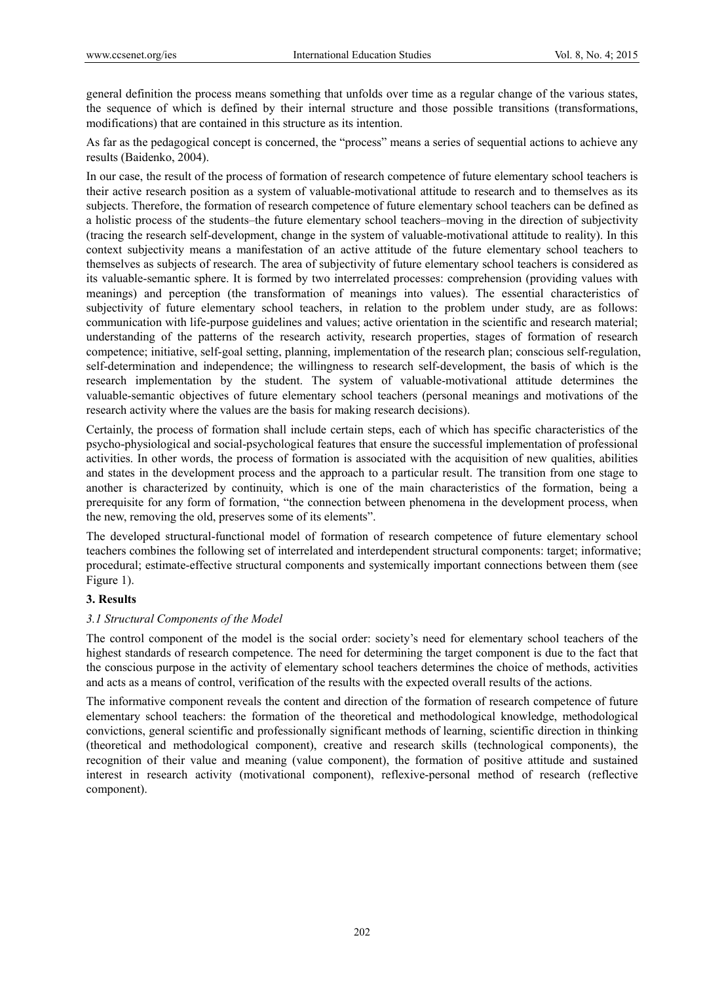general definition the process means something that unfolds over time as a regular change of the various states, the sequence of which is defined by their internal structure and those possible transitions (transformations, modifications) that are contained in this structure as its intention.

As far as the pedagogical concept is concerned, the "process" means a series of sequential actions to achieve any results (Baidenko, 2004).

In our case, the result of the process of formation of research competence of future elementary school teachers is their active research position as a system of valuable-motivational attitude to research and to themselves as its subjects. Therefore, the formation of research competence of future elementary school teachers can be defined as a holistic process of the students–the future elementary school teachers–moving in the direction of subjectivity (tracing the research self-development, change in the system of valuable-motivational attitude to reality). In this context subjectivity means a manifestation of an active attitude of the future elementary school teachers to themselves as subjects of research. The area of subjectivity of future elementary school teachers is considered as its valuable-semantic sphere. It is formed by two interrelated processes: comprehension (providing values with meanings) and perception (the transformation of meanings into values). The essential characteristics of subjectivity of future elementary school teachers, in relation to the problem under study, are as follows: communication with life-purpose guidelines and values; active orientation in the scientific and research material; understanding of the patterns of the research activity, research properties, stages of formation of research competence; initiative, self-goal setting, planning, implementation of the research plan; conscious self-regulation, self-determination and independence; the willingness to research self-development, the basis of which is the research implementation by the student. The system of valuable-motivational attitude determines the valuable-semantic objectives of future elementary school teachers (personal meanings and motivations of the research activity where the values are the basis for making research decisions).

Certainly, the process of formation shall include certain steps, each of which has specific characteristics of the psycho-physiological and social-psychological features that ensure the successful implementation of professional activities. In other words, the process of formation is associated with the acquisition of new qualities, abilities and states in the development process and the approach to a particular result. The transition from one stage to another is characterized by continuity, which is one of the main characteristics of the formation, being a prerequisite for any form of formation, "the connection between phenomena in the development process, when the new, removing the old, preserves some of its elements".

The developed structural-functional model of formation of research competence of future elementary school teachers combines the following set of interrelated and interdependent structural components: target; informative; procedural; estimate-effective structural components and systemically important connections between them (see Figure 1).

### **3. Results**

### *3.1 Structural Components of the Model*

The control component of the model is the social order: society's need for elementary school teachers of the highest standards of research competence. The need for determining the target component is due to the fact that the conscious purpose in the activity of elementary school teachers determines the choice of methods, activities and acts as a means of control, verification of the results with the expected overall results of the actions.

The informative component reveals the content and direction of the formation of research competence of future elementary school teachers: the formation of the theoretical and methodological knowledge, methodological convictions, general scientific and professionally significant methods of learning, scientific direction in thinking (theoretical and methodological component), creative and research skills (technological components), the recognition of their value and meaning (value component), the formation of positive attitude and sustained interest in research activity (motivational component), reflexive-personal method of research (reflective component).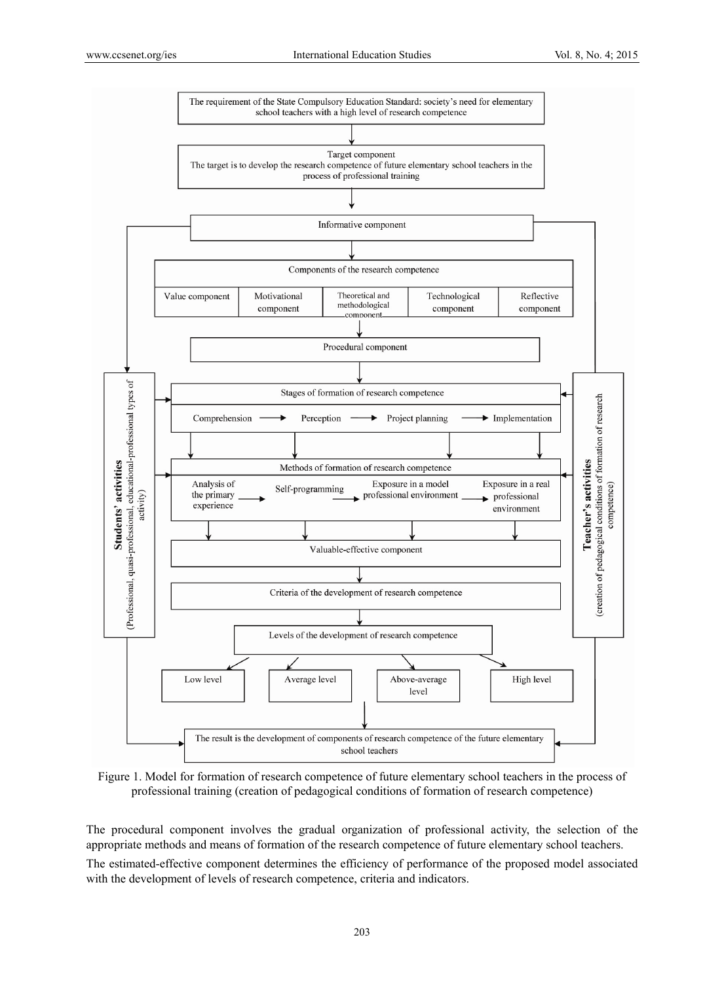

Figure 1. Model for formation of research competence of future elementary school teachers in the process of professional training (creation of pedagogical conditions of formation of research competence)

The procedural component involves the gradual organization of professional activity, the selection of the appropriate methods and means of formation of the research competence of future elementary school teachers.

The estimated-effective component determines the efficiency of performance of the proposed model associated with the development of levels of research competence, criteria and indicators.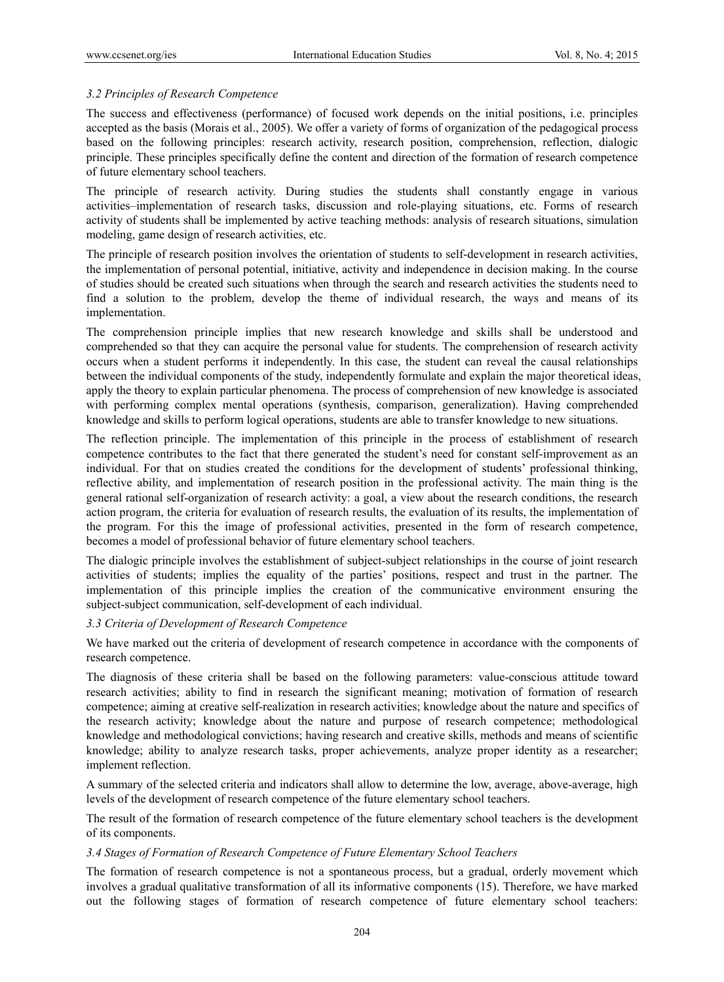## *3.2 Principles of Research Competence*

The success and effectiveness (performance) of focused work depends on the initial positions, i.e. principles accepted as the basis (Morais et al., 2005). We offer a variety of forms of organization of the pedagogical process based on the following principles: research activity, research position, comprehension, reflection, dialogic principle. These principles specifically define the content and direction of the formation of research competence of future elementary school teachers.

The principle of research activity. During studies the students shall constantly engage in various activities–implementation of research tasks, discussion and role-playing situations, etc. Forms of research activity of students shall be implemented by active teaching methods: analysis of research situations, simulation modeling, game design of research activities, etc.

The principle of research position involves the orientation of students to self-development in research activities, the implementation of personal potential, initiative, activity and independence in decision making. In the course of studies should be created such situations when through the search and research activities the students need to find a solution to the problem, develop the theme of individual research, the ways and means of its implementation.

The comprehension principle implies that new research knowledge and skills shall be understood and comprehended so that they can acquire the personal value for students. The comprehension of research activity occurs when a student performs it independently. In this case, the student can reveal the causal relationships between the individual components of the study, independently formulate and explain the major theoretical ideas, apply the theory to explain particular phenomena. The process of comprehension of new knowledge is associated with performing complex mental operations (synthesis, comparison, generalization). Having comprehended knowledge and skills to perform logical operations, students are able to transfer knowledge to new situations.

The reflection principle. The implementation of this principle in the process of establishment of research competence contributes to the fact that there generated the student's need for constant self-improvement as an individual. For that on studies created the conditions for the development of students' professional thinking, reflective ability, and implementation of research position in the professional activity. The main thing is the general rational self-organization of research activity: a goal, a view about the research conditions, the research action program, the criteria for evaluation of research results, the evaluation of its results, the implementation of the program. For this the image of professional activities, presented in the form of research competence, becomes a model of professional behavior of future elementary school teachers.

The dialogic principle involves the establishment of subject-subject relationships in the course of joint research activities of students; implies the equality of the parties' positions, respect and trust in the partner. The implementation of this principle implies the creation of the communicative environment ensuring the subject-subject communication, self-development of each individual.

### *3.3 Criteria of Development of Research Competence*

We have marked out the criteria of development of research competence in accordance with the components of research competence.

The diagnosis of these criteria shall be based on the following parameters: value-conscious attitude toward research activities; ability to find in research the significant meaning; motivation of formation of research competence; aiming at creative self-realization in research activities; knowledge about the nature and specifics of the research activity; knowledge about the nature and purpose of research competence; methodological knowledge and methodological convictions; having research and creative skills, methods and means of scientific knowledge; ability to analyze research tasks, proper achievements, analyze proper identity as a researcher; implement reflection.

A summary of the selected criteria and indicators shall allow to determine the low, average, above-average, high levels of the development of research competence of the future elementary school teachers.

The result of the formation of research competence of the future elementary school teachers is the development of its components.

### *3.4 Stages of Formation of Research Competence of Future Elementary School Teachers*

The formation of research competence is not a spontaneous process, but a gradual, orderly movement which involves a gradual qualitative transformation of all its informative components (15). Therefore, we have marked out the following stages of formation of research competence of future elementary school teachers: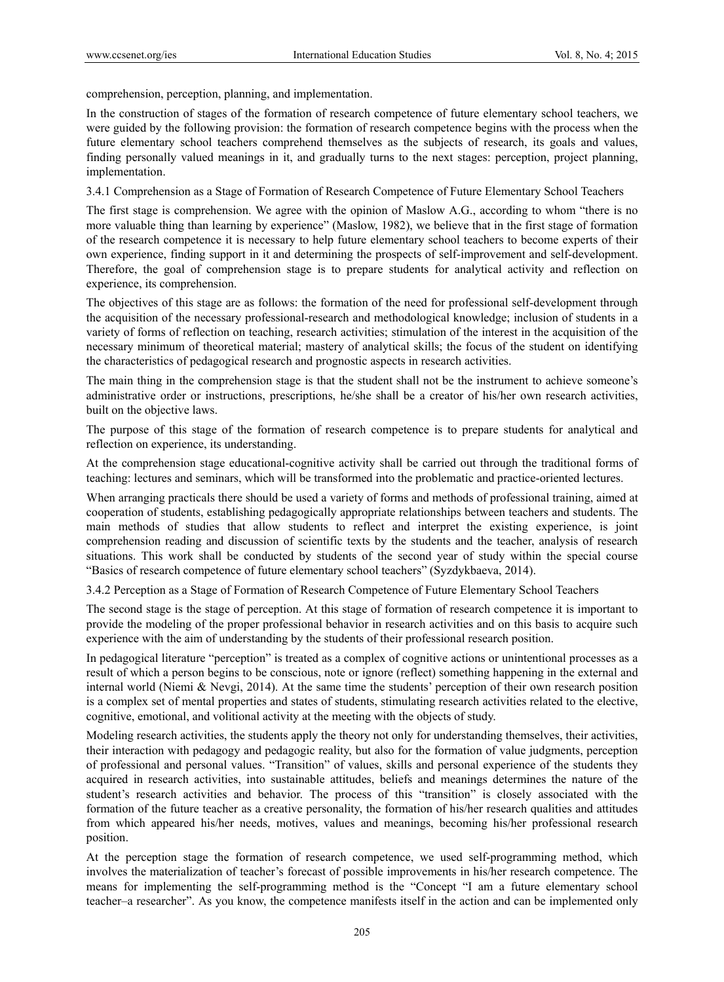comprehension, perception, planning, and implementation.

In the construction of stages of the formation of research competence of future elementary school teachers, we were guided by the following provision: the formation of research competence begins with the process when the future elementary school teachers comprehend themselves as the subjects of research, its goals and values, finding personally valued meanings in it, and gradually turns to the next stages: perception, project planning, implementation.

3.4.1 Comprehension as a Stage of Formation of Research Competence of Future Elementary School Teachers

The first stage is comprehension. We agree with the opinion of Maslow A.G., according to whom "there is no more valuable thing than learning by experience" (Maslow, 1982), we believe that in the first stage of formation of the research competence it is necessary to help future elementary school teachers to become experts of their own experience, finding support in it and determining the prospects of self-improvement and self-development. Therefore, the goal of comprehension stage is to prepare students for analytical activity and reflection on experience, its comprehension.

The objectives of this stage are as follows: the formation of the need for professional self-development through the acquisition of the necessary professional-research and methodological knowledge; inclusion of students in a variety of forms of reflection on teaching, research activities; stimulation of the interest in the acquisition of the necessary minimum of theoretical material; mastery of analytical skills; the focus of the student on identifying the characteristics of pedagogical research and prognostic aspects in research activities.

The main thing in the comprehension stage is that the student shall not be the instrument to achieve someone's administrative order or instructions, prescriptions, he/she shall be a creator of his/her own research activities, built on the objective laws.

The purpose of this stage of the formation of research competence is to prepare students for analytical and reflection on experience, its understanding.

At the comprehension stage educational-cognitive activity shall be carried out through the traditional forms of teaching: lectures and seminars, which will be transformed into the problematic and practice-oriented lectures.

When arranging practicals there should be used a variety of forms and methods of professional training, aimed at cooperation of students, establishing pedagogically appropriate relationships between teachers and students. The main methods of studies that allow students to reflect and interpret the existing experience, is joint comprehension reading and discussion of scientific texts by the students and the teacher, analysis of research situations. This work shall be conducted by students of the second year of study within the special course "Basics of research competence of future elementary school teachers" (Syzdykbaeva, 2014).

3.4.2 Perception as a Stage of Formation of Research Competence of Future Elementary School Teachers

The second stage is the stage of perception. At this stage of formation of research competence it is important to provide the modeling of the proper professional behavior in research activities and on this basis to acquire such experience with the aim of understanding by the students of their professional research position.

In pedagogical literature "perception" is treated as a complex of cognitive actions or unintentional processes as a result of which a person begins to be conscious, note or ignore (reflect) something happening in the external and internal world (Niemi & Nevgi, 2014). At the same time the students' perception of their own research position is a complex set of mental properties and states of students, stimulating research activities related to the elective, cognitive, emotional, and volitional activity at the meeting with the objects of study.

Modeling research activities, the students apply the theory not only for understanding themselves, their activities, their interaction with pedagogy and pedagogic reality, but also for the formation of value judgments, perception of professional and personal values. "Transition" of values, skills and personal experience of the students they acquired in research activities, into sustainable attitudes, beliefs and meanings determines the nature of the student's research activities and behavior. The process of this "transition" is closely associated with the formation of the future teacher as a creative personality, the formation of his/her research qualities and attitudes from which appeared his/her needs, motives, values and meanings, becoming his/her professional research position.

At the perception stage the formation of research competence, we used self-programming method, which involves the materialization of teacher's forecast of possible improvements in his/her research competence. The means for implementing the self-programming method is the "Concept "I am a future elementary school teacher–a researcher". As you know, the competence manifests itself in the action and can be implemented only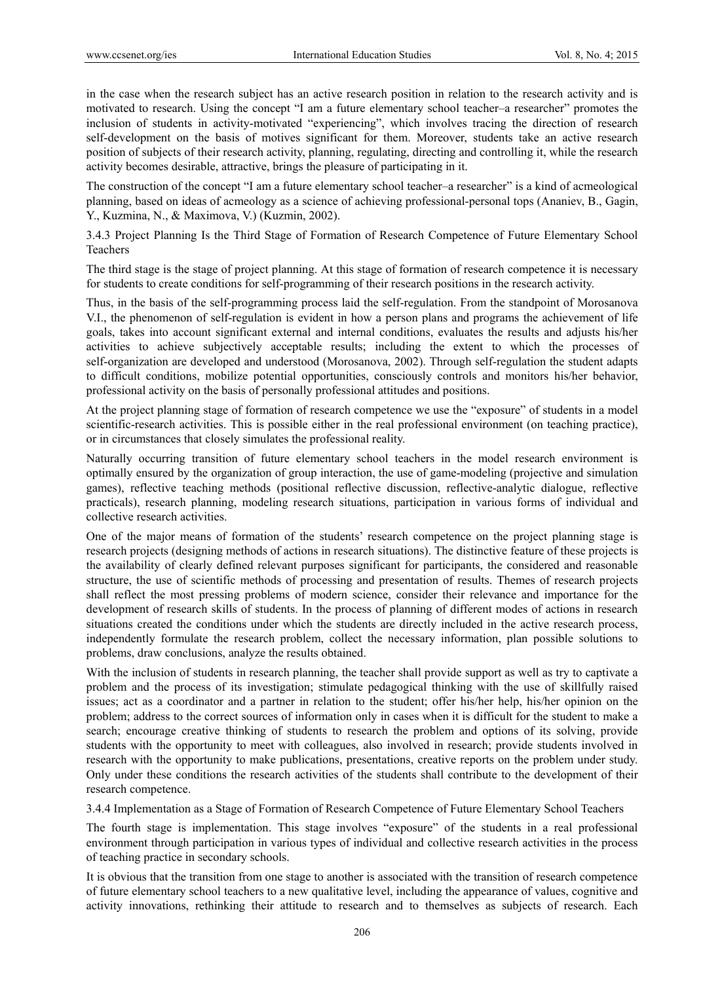in the case when the research subject has an active research position in relation to the research activity and is motivated to research. Using the concept "I am a future elementary school teacher–a researcher" promotes the inclusion of students in activity-motivated "experiencing", which involves tracing the direction of research self-development on the basis of motives significant for them. Moreover, students take an active research position of subjects of their research activity, planning, regulating, directing and controlling it, while the research activity becomes desirable, attractive, brings the pleasure of participating in it.

The construction of the concept "I am a future elementary school teacher–a researcher" is a kind of acmeological planning, based on ideas of acmeology as a science of achieving professional-personal tops (Ananiev, B., Gagin, Y., Kuzmina, N., & Maximova, V.) (Kuzmin, 2002).

3.4.3 Project Planning Is the Third Stage of Formation of Research Competence of Future Elementary School Teachers

The third stage is the stage of project planning. At this stage of formation of research competence it is necessary for students to create conditions for self-programming of their research positions in the research activity.

Thus, in the basis of the self-programming process laid the self-regulation. From the standpoint of Morosanova V.I., the phenomenon of self-regulation is evident in how a person plans and programs the achievement of life goals, takes into account significant external and internal conditions, evaluates the results and adjusts his/her activities to achieve subjectively acceptable results; including the extent to which the processes of self-organization are developed and understood (Morosanova, 2002). Through self-regulation the student adapts to difficult conditions, mobilize potential opportunities, consciously controls and monitors his/her behavior, professional activity on the basis of personally professional attitudes and positions.

At the project planning stage of formation of research competence we use the "exposure" of students in a model scientific-research activities. This is possible either in the real professional environment (on teaching practice), or in circumstances that closely simulates the professional reality.

Naturally occurring transition of future elementary school teachers in the model research environment is optimally ensured by the organization of group interaction, the use of game-modeling (projective and simulation games), reflective teaching methods (positional reflective discussion, reflective-analytic dialogue, reflective practicals), research planning, modeling research situations, participation in various forms of individual and collective research activities.

One of the major means of formation of the students' research competence on the project planning stage is research projects (designing methods of actions in research situations). The distinctive feature of these projects is the availability of clearly defined relevant purposes significant for participants, the considered and reasonable structure, the use of scientific methods of processing and presentation of results. Themes of research projects shall reflect the most pressing problems of modern science, consider their relevance and importance for the development of research skills of students. In the process of planning of different modes of actions in research situations created the conditions under which the students are directly included in the active research process, independently formulate the research problem, collect the necessary information, plan possible solutions to problems, draw conclusions, analyze the results obtained.

With the inclusion of students in research planning, the teacher shall provide support as well as try to captivate a problem and the process of its investigation; stimulate pedagogical thinking with the use of skillfully raised issues; act as a coordinator and a partner in relation to the student; offer his/her help, his/her opinion on the problem; address to the correct sources of information only in cases when it is difficult for the student to make a search; encourage creative thinking of students to research the problem and options of its solving, provide students with the opportunity to meet with colleagues, also involved in research; provide students involved in research with the opportunity to make publications, presentations, creative reports on the problem under study. Only under these conditions the research activities of the students shall contribute to the development of their research competence.

3.4.4 Implementation as a Stage of Formation of Research Competence of Future Elementary School Teachers

The fourth stage is implementation. This stage involves "exposure" of the students in a real professional environment through participation in various types of individual and collective research activities in the process of teaching practice in secondary schools.

It is obvious that the transition from one stage to another is associated with the transition of research competence of future elementary school teachers to a new qualitative level, including the appearance of values, cognitive and activity innovations, rethinking their attitude to research and to themselves as subjects of research. Each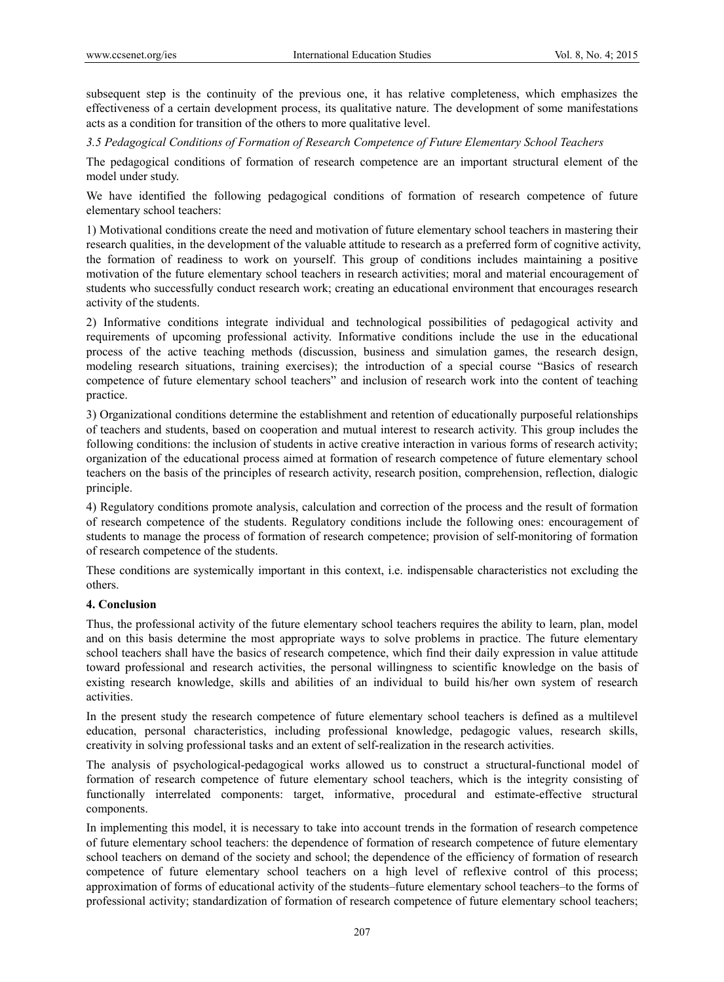subsequent step is the continuity of the previous one, it has relative completeness, which emphasizes the effectiveness of a certain development process, its qualitative nature. The development of some manifestations acts as a condition for transition of the others to more qualitative level.

*3.5 Pedagogical Conditions of Formation of Research Competence of Future Elementary School Teachers* 

The pedagogical conditions of formation of research competence are an important structural element of the model under study.

We have identified the following pedagogical conditions of formation of research competence of future elementary school teachers:

1) Motivational conditions create the need and motivation of future elementary school teachers in mastering their research qualities, in the development of the valuable attitude to research as a preferred form of cognitive activity, the formation of readiness to work on yourself. This group of conditions includes maintaining a positive motivation of the future elementary school teachers in research activities; moral and material encouragement of students who successfully conduct research work; creating an educational environment that encourages research activity of the students.

2) Informative conditions integrate individual and technological possibilities of pedagogical activity and requirements of upcoming professional activity. Informative conditions include the use in the educational process of the active teaching methods (discussion, business and simulation games, the research design, modeling research situations, training exercises); the introduction of a special course "Basics of research competence of future elementary school teachers" and inclusion of research work into the content of teaching practice.

3) Organizational conditions determine the establishment and retention of educationally purposeful relationships of teachers and students, based on cooperation and mutual interest to research activity. This group includes the following conditions: the inclusion of students in active creative interaction in various forms of research activity; organization of the educational process aimed at formation of research competence of future elementary school teachers on the basis of the principles of research activity, research position, comprehension, reflection, dialogic principle.

4) Regulatory conditions promote analysis, calculation and correction of the process and the result of formation of research competence of the students. Regulatory conditions include the following ones: encouragement of students to manage the process of formation of research competence; provision of self-monitoring of formation of research competence of the students.

These conditions are systemically important in this context, i.e. indispensable characteristics not excluding the others.

# **4. Conclusion**

Thus, the professional activity of the future elementary school teachers requires the ability to learn, plan, model and on this basis determine the most appropriate ways to solve problems in practice. The future elementary school teachers shall have the basics of research competence, which find their daily expression in value attitude toward professional and research activities, the personal willingness to scientific knowledge on the basis of existing research knowledge, skills and abilities of an individual to build his/her own system of research activities.

In the present study the research competence of future elementary school teachers is defined as a multilevel education, personal characteristics, including professional knowledge, pedagogic values, research skills, creativity in solving professional tasks and an extent of self-realization in the research activities.

The analysis of psychological-pedagogical works allowed us to construct a structural-functional model of formation of research competence of future elementary school teachers, which is the integrity consisting of functionally interrelated components: target, informative, procedural and estimate-effective structural components.

In implementing this model, it is necessary to take into account trends in the formation of research competence of future elementary school teachers: the dependence of formation of research competence of future elementary school teachers on demand of the society and school; the dependence of the efficiency of formation of research competence of future elementary school teachers on a high level of reflexive control of this process; approximation of forms of educational activity of the students–future elementary school teachers–to the forms of professional activity; standardization of formation of research competence of future elementary school teachers;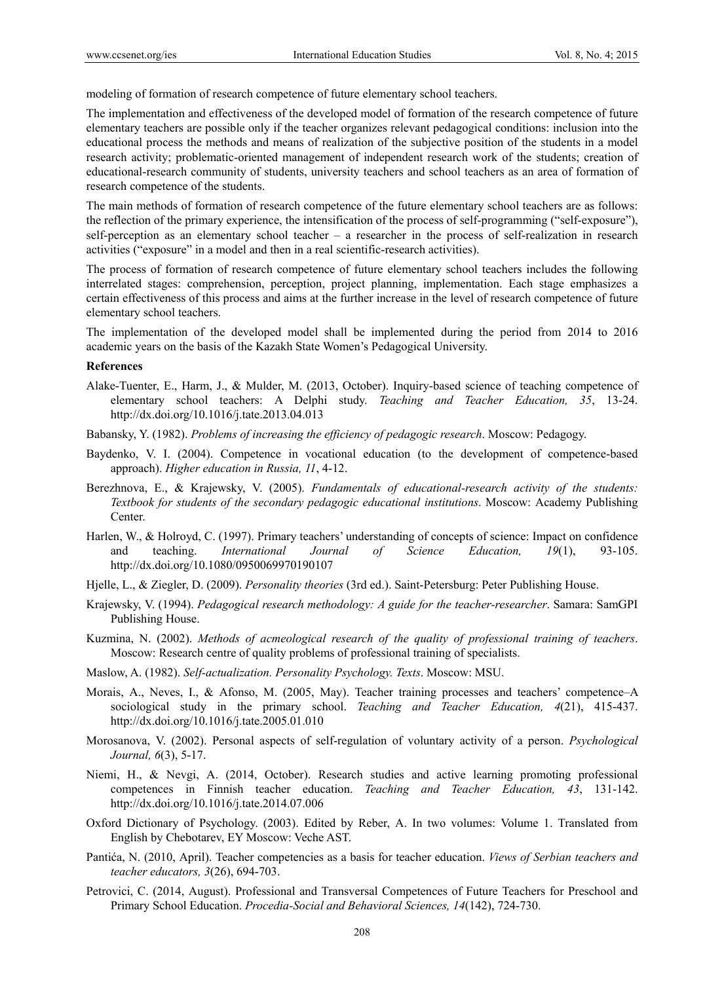modeling of formation of research competence of future elementary school teachers.

The implementation and effectiveness of the developed model of formation of the research competence of future elementary teachers are possible only if the teacher organizes relevant pedagogical conditions: inclusion into the educational process the methods and means of realization of the subjective position of the students in a model research activity; problematic-oriented management of independent research work of the students; creation of educational-research community of students, university teachers and school teachers as an area of formation of research competence of the students.

The main methods of formation of research competence of the future elementary school teachers are as follows: the reflection of the primary experience, the intensification of the process of self-programming ("self-exposure"), self-perception as an elementary school teacher – a researcher in the process of self-realization in research activities ("exposure" in a model and then in a real scientific-research activities).

The process of formation of research competence of future elementary school teachers includes the following interrelated stages: comprehension, perception, project planning, implementation. Each stage emphasizes a certain effectiveness of this process and aims at the further increase in the level of research competence of future elementary school teachers.

The implementation of the developed model shall be implemented during the period from 2014 to 2016 academic years on the basis of the Kazakh State Women's Pedagogical University.

#### **References**

- Alake-Tuenter, E., Harm, J., & Mulder, M. (2013, October). Inquiry-based science of teaching competence of elementary school teachers: A Delphi study. *Teaching and Teacher Education, 35*, 13-24. http://dx.doi.org/10.1016/j.tate.2013.04.013
- Babansky, Y. (1982). *Problems of increasing the efficiency of pedagogic research*. Moscow: Pedagogy.
- Baydenko, V. I. (2004). Competence in vocational education (to the development of competence-based approach). *Higher education in Russia, 11*, 4-12.
- Berezhnova, E., & Krajewsky, V. (2005). *Fundamentals of educational-research activity of the students: Textbook for students of the secondary pedagogic educational institutions*. Moscow: Academy Publishing Center.
- Harlen, W., & Holroyd, C. (1997). Primary teachers' understanding of concepts of science: Impact on confidence and teaching. *International Journal of Science Education, 19*(1), 93-105. http://dx.doi.org/10.1080/0950069970190107
- Hjelle, L., & Ziegler, D. (2009). *Personality theories* (3rd ed.). Saint-Petersburg: Peter Publishing House.
- Krajewsky, V. (1994). *Pedagogical research methodology: A guide for the teacher-researcher*. Samara: SamGPI Publishing House.
- Kuzmina, N. (2002). *Methods of acmeological research of the quality of professional training of teachers*. Moscow: Research centre of quality problems of professional training of specialists.
- Maslow, A. (1982). *Self-actualization. Personality Psychology. Texts*. Moscow: MSU.
- Morais, A., Neves, I., & Afonso, M. (2005, May). Teacher training processes and teachers' competence–A sociological study in the primary school. *Teaching and Teacher Education, 4*(21), 415-437. http://dx.doi.org/10.1016/j.tate.2005.01.010
- Morosanova, V. (2002). Personal aspects of self-regulation of voluntary activity of a person. *Psychological Journal, 6*(3), 5-17.
- Niemi, H., & Nevgi, A. (2014, October). Research studies and active learning promoting professional competences in Finnish teacher education. *Teaching and Teacher Education, 43*, 131-142. http://dx.doi.org/10.1016/j.tate.2014.07.006
- Oxford Dictionary of Psychology. (2003). Edited by Reber, A. In two volumes: Volume 1. Translated from English by Chebotarev, EY Moscow: Veche AST.
- Pantića, N. (2010, April). Teacher competencies as a basis for teacher education. *Views of Serbian teachers and teacher educators, 3*(26), 694-703.
- Petrovici, C. (2014, August). Professional and Transversal Competences of Future Teachers for Preschool and Primary School Education. *Procedia-Social and Behavioral Sciences, 14*(142), 724-730.